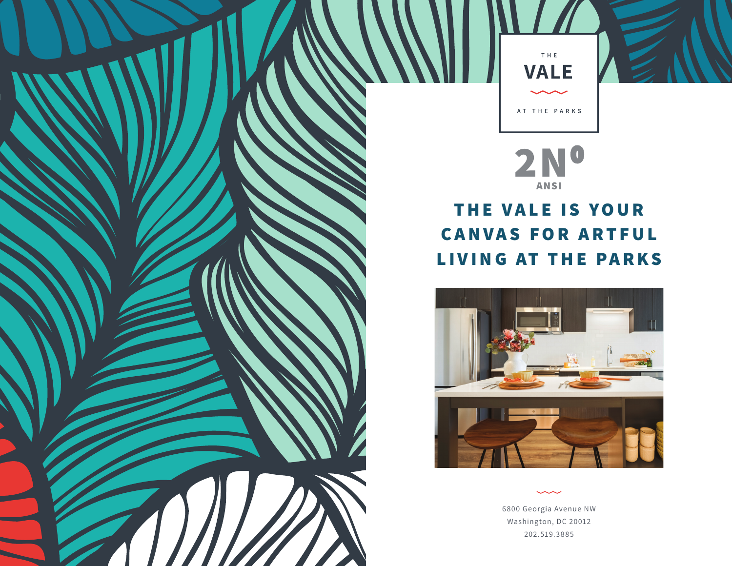

**2N0 ANSI**

## **THE VALE IS YOUR CANVAS FOR ARTFUL LIVING AT THE PARKS**



6800 Georgia Avenue NW Washington, DC 20012 202.519.3885